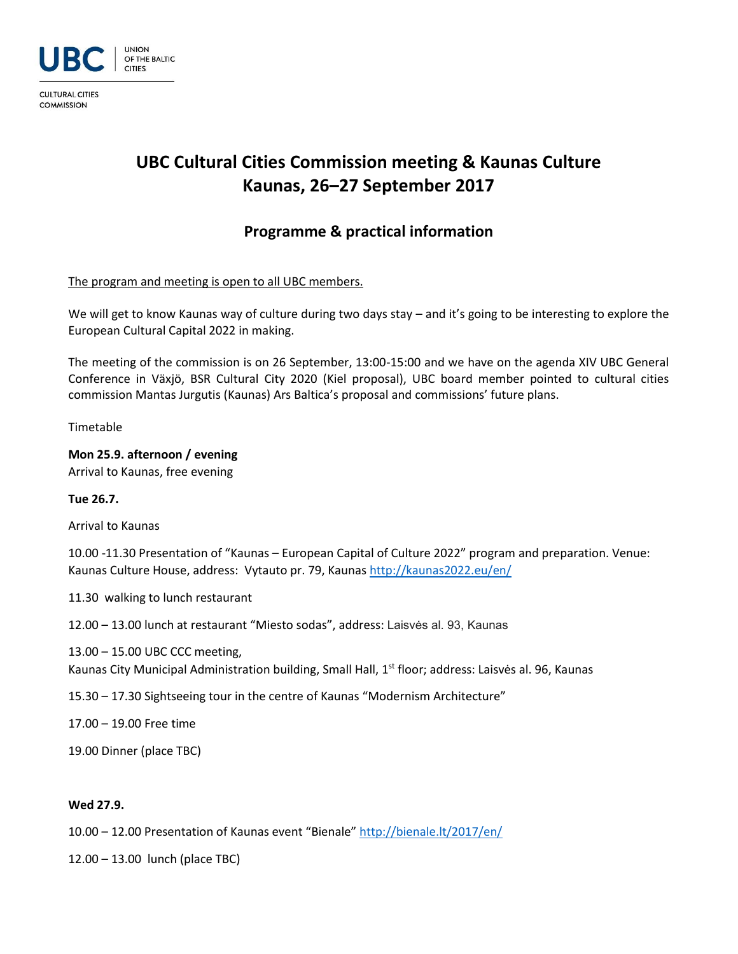

**CULTURAL CITIES COMMISSION** 

## **UBC Cultural Cities Commission meeting & Kaunas Culture Kaunas, 26–27 September 2017**

## **Programme & practical information**

The program and meeting is open to all UBC members.

We will get to know Kaunas way of culture during two days stay – and it's going to be interesting to explore the European Cultural Capital 2022 in making.

The meeting of the commission is on 26 September, 13:00-15:00 and we have on the agenda XIV UBC General Conference in Växjö, BSR Cultural City 2020 (Kiel proposal), UBC board member pointed to cultural cities commission Mantas Jurgutis (Kaunas) Ars Baltica's proposal and commissions' future plans.

Timetable

**Mon 25.9. afternoon / evening** Arrival to Kaunas, free evening

**Tue 26.7.** 

Arrival to Kaunas

10.00 -11.30 Presentation of "Kaunas – European Capital of Culture 2022" program and preparation. Venue: Kaunas Culture House, address: Vytauto pr. 79, Kauna[s http://kaunas2022.eu/en/](http://kaunas2022.eu/en/)

11.30 walking to lunch restaurant

12.00 – 13.00 lunch at restaurant "Miesto sodas", address: Laisvės al. 93, Kaunas

13.00 – 15.00 UBC CCC meeting,

Kaunas City Municipal Administration building, Small Hall, 1<sup>st</sup> floor; address: Laisvės al. 96, Kaunas

15.30 – 17.30 Sightseeing tour in the centre of Kaunas "Modernism Architecture"

17.00 – 19.00 Free time

19.00 Dinner (place TBC)

## **Wed 27.9.**

10.00 – 12.00 Presentation of Kaunas event "Bienale" <http://bienale.lt/2017/en/>

12.00 – 13.00 lunch (place TBC)